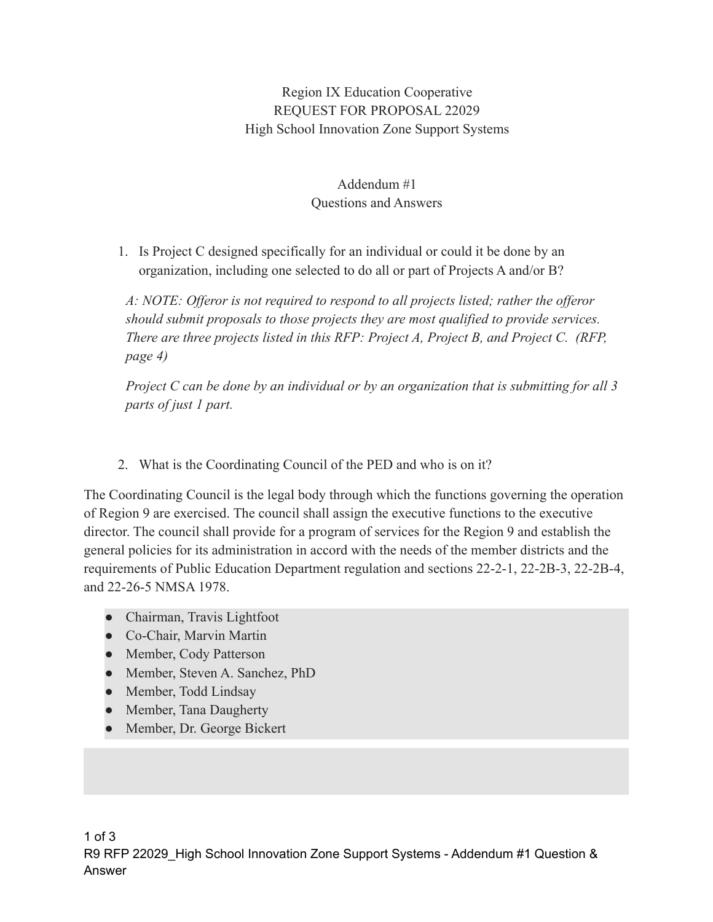## Region IX Education Cooperative REQUEST FOR PROPOSAL 22029 High School Innovation Zone Support Systems

## Addendum #1 Questions and Answers

1. Is Project C designed specifically for an individual or could it be done by an organization, including one selected to do all or part of Projects A and/or B?

*A: NOTE: Offeror is not required to respond to all projects listed; rather the offeror should submit proposals to those projects they are most qualified to provide services. There are three projects listed in this RFP: Project A, Project B, and Project C. (RFP, page 4)*

*Project C can be done by an individual or by an organization that is submitting for all 3 parts of just 1 part.*

2. What is the Coordinating Council of the PED and who is on it?

The Coordinating Council is the legal body through which the functions governing the operation of Region 9 are exercised. The council shall assign the executive functions to the executive director. The council shall provide for a program of services for the Region 9 and establish the general policies for its administration in accord with the needs of the member districts and the requirements of Public Education Department regulation and sections 22-2-1, 22-2B-3, 22-2B-4, and 22-26-5 NMSA 1978.

- Chairman, Travis Lightfoot
- Co-Chair, Marvin Martin
- Member, Cody Patterson
- Member, Steven A. Sanchez, PhD
- Member, Todd Lindsay
- Member, Tana Daugherty
- Member, Dr. George Bickert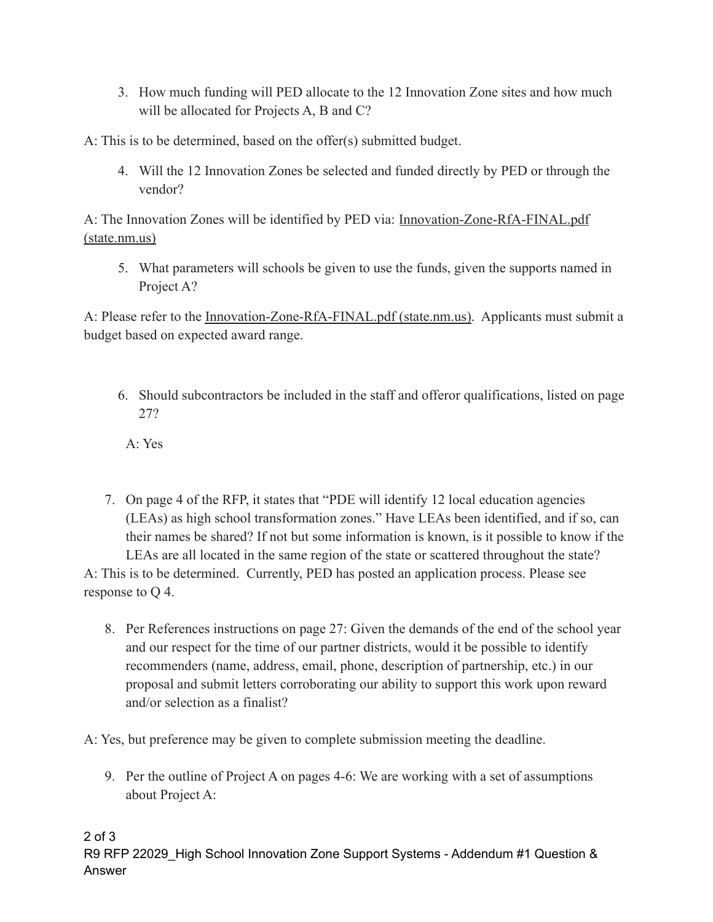3. How much funding will PED allocate to the 12 Innovation Zone sites and how much will be allocated for Projects A, B and C?

A: This is to be determined, based on the offer(s) submitted budget.

4. Will the 12 Innovation Zones be selected and funded directly by PED or through the vendor?

A: The Innovation Zones will be identified by PED via: [Innovation-Zone-RfA-FINAL.pdf](https://webnew.ped.state.nm.us/wp-content/uploads/2022/05/Innovation-Zone-RfA-FINAL.pdf) [\(state.nm.us\)](https://webnew.ped.state.nm.us/wp-content/uploads/2022/05/Innovation-Zone-RfA-FINAL.pdf)

5. What parameters will schools be given to use the funds, given the supports named in Project A?

A: Please refer to the [Innovation-Zone-RfA-FINAL.pdf](https://webnew.ped.state.nm.us/wp-content/uploads/2022/05/Innovation-Zone-RfA-FINAL.pdf) (state.nm.us). Applicants must submit a budget based on expected award range.

6. Should subcontractors be included in the staff and offeror qualifications, listed on page 27?

A: Yes

7. On page 4 of the RFP, it states that "PDE will identify 12 local education agencies (LEAs) as high school transformation zones." Have LEAs been identified, and if so, can their names be shared? If not but some information is known, is it possible to know if the LEAs are all located in the same region of the state or scattered throughout the state?

A: This is to be determined. Currently, PED has posted an application process. Please see response to Q 4.

8. Per References instructions on page 27: Given the demands of the end of the school year and our respect for the time of our partner districts, would it be possible to identify recommenders (name, address, email, phone, description of partnership, etc.) in our proposal and submit letters corroborating our ability to support this work upon reward and/or selection as a finalist?

A: Yes, but preference may be given to complete submission meeting the deadline.

9. Per the outline of Project A on pages 4-6: We are working with a set of assumptions about Project A: